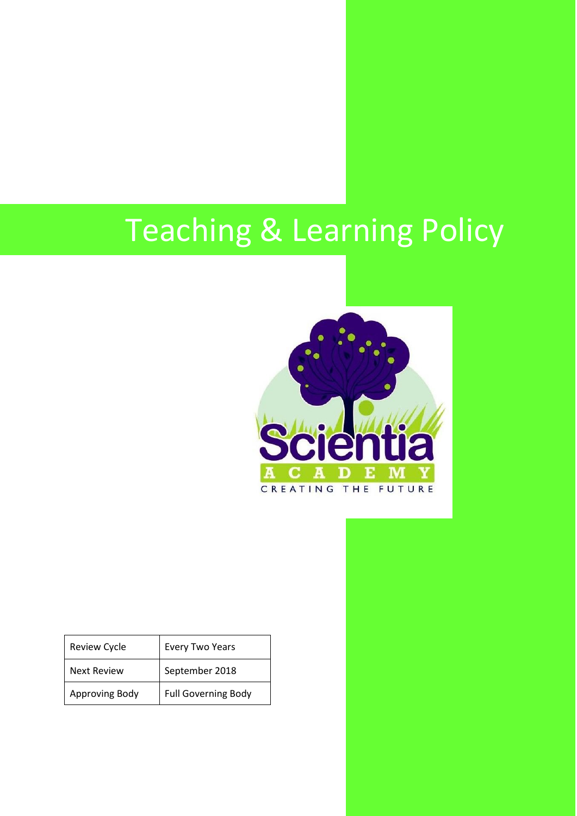# Teaching & Learning Policy



| Review Cycle       | <b>Every Two Years</b>     |
|--------------------|----------------------------|
| <b>Next Review</b> | September 2018             |
| Approving Body     | <b>Full Governing Body</b> |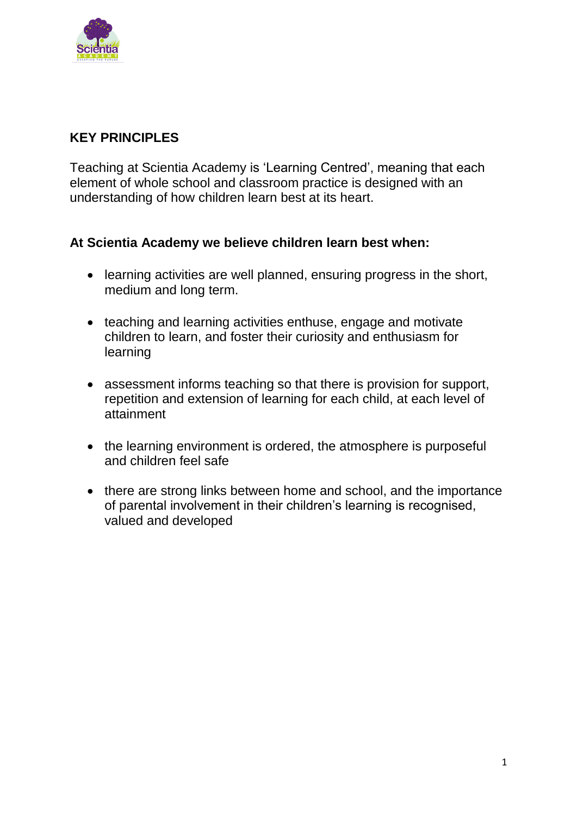

# **KEY PRINCIPLES**

Teaching at Scientia Academy is 'Learning Centred', meaning that each element of whole school and classroom practice is designed with an understanding of how children learn best at its heart.

## **At Scientia Academy we believe children learn best when:**

- learning activities are well planned, ensuring progress in the short, medium and long term.
- teaching and learning activities enthuse, engage and motivate children to learn, and foster their curiosity and enthusiasm for learning
- assessment informs teaching so that there is provision for support, repetition and extension of learning for each child, at each level of attainment
- the learning environment is ordered, the atmosphere is purposeful and children feel safe
- there are strong links between home and school, and the importance of parental involvement in their children's learning is recognised, valued and developed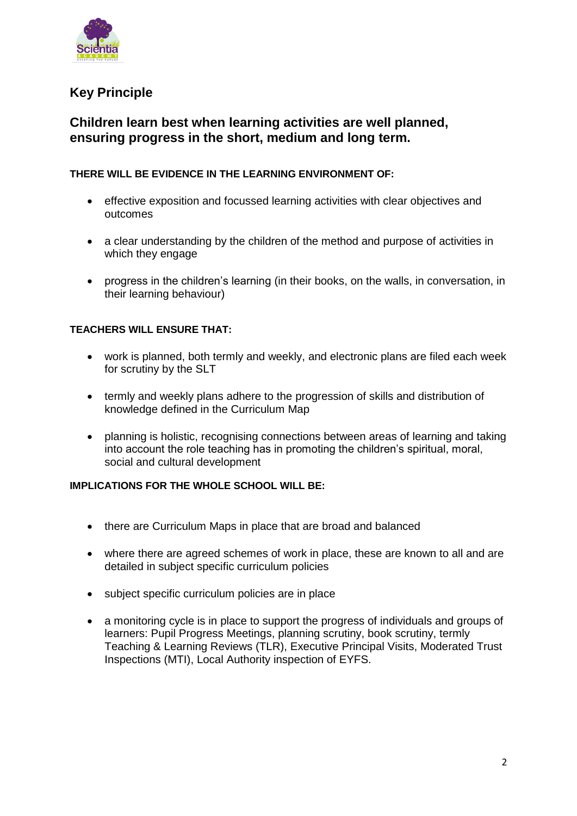

# **Key Principle**

## **Children learn best when learning activities are well planned, ensuring progress in the short, medium and long term.**

## **THERE WILL BE EVIDENCE IN THE LEARNING ENVIRONMENT OF:**

- effective exposition and focussed learning activities with clear objectives and outcomes
- a clear understanding by the children of the method and purpose of activities in which they engage
- progress in the children's learning (in their books, on the walls, in conversation, in their learning behaviour)

## **TEACHERS WILL ENSURE THAT:**

- work is planned, both termly and weekly, and electronic plans are filed each week for scrutiny by the SLT
- termly and weekly plans adhere to the progression of skills and distribution of knowledge defined in the Curriculum Map
- planning is holistic, recognising connections between areas of learning and taking into account the role teaching has in promoting the children's spiritual, moral, social and cultural development

#### **IMPLICATIONS FOR THE WHOLE SCHOOL WILL BE:**

- there are Curriculum Maps in place that are broad and balanced
- where there are agreed schemes of work in place, these are known to all and are detailed in subject specific curriculum policies
- subject specific curriculum policies are in place
- a monitoring cycle is in place to support the progress of individuals and groups of learners: Pupil Progress Meetings, planning scrutiny, book scrutiny, termly Teaching & Learning Reviews (TLR), Executive Principal Visits, Moderated Trust Inspections (MTI), Local Authority inspection of EYFS.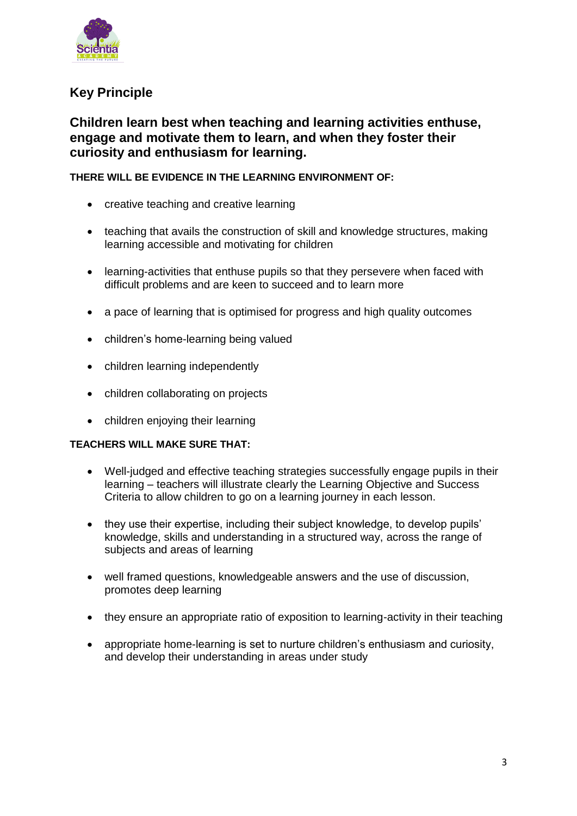

# **Key Principle**

## **Children learn best when teaching and learning activities enthuse, engage and motivate them to learn, and when they foster their curiosity and enthusiasm for learning.**

## **THERE WILL BE EVIDENCE IN THE LEARNING ENVIRONMENT OF:**

- creative teaching and creative learning
- teaching that avails the construction of skill and knowledge structures, making learning accessible and motivating for children
- learning-activities that enthuse pupils so that they persevere when faced with difficult problems and are keen to succeed and to learn more
- a pace of learning that is optimised for progress and high quality outcomes
- children's home-learning being valued
- children learning independently
- children collaborating on projects
- children enjoying their learning

## **TEACHERS WILL MAKE SURE THAT:**

- Well-judged and effective teaching strategies successfully engage pupils in their learning – teachers will illustrate clearly the Learning Objective and Success Criteria to allow children to go on a learning journey in each lesson.
- they use their expertise, including their subject knowledge, to develop pupils' knowledge, skills and understanding in a structured way, across the range of subjects and areas of learning
- well framed questions, knowledgeable answers and the use of discussion, promotes deep learning
- they ensure an appropriate ratio of exposition to learning-activity in their teaching
- appropriate home-learning is set to nurture children's enthusiasm and curiosity, and develop their understanding in areas under study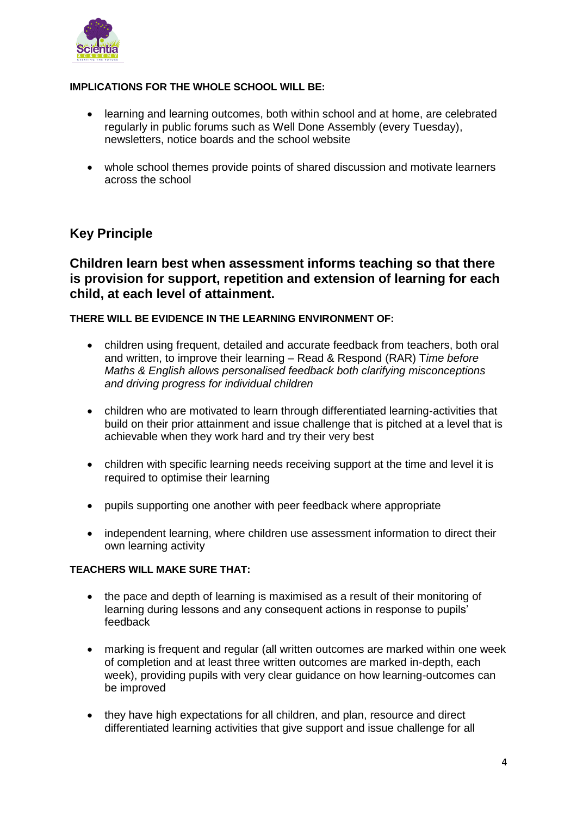

## **IMPLICATIONS FOR THE WHOLE SCHOOL WILL BE:**

- learning and learning outcomes, both within school and at home, are celebrated regularly in public forums such as Well Done Assembly (every Tuesday), newsletters, notice boards and the school website
- whole school themes provide points of shared discussion and motivate learners across the school

## **Key Principle**

## **Children learn best when assessment informs teaching so that there is provision for support, repetition and extension of learning for each child, at each level of attainment.**

## **THERE WILL BE EVIDENCE IN THE LEARNING ENVIRONMENT OF:**

- children using frequent, detailed and accurate feedback from teachers, both oral and written, to improve their learning – Read & Respond (RAR) T*ime before Maths & English allows personalised feedback both clarifying misconceptions and driving progress for individual children*
- children who are motivated to learn through differentiated learning-activities that build on their prior attainment and issue challenge that is pitched at a level that is achievable when they work hard and try their very best
- children with specific learning needs receiving support at the time and level it is required to optimise their learning
- pupils supporting one another with peer feedback where appropriate
- independent learning, where children use assessment information to direct their own learning activity

#### **TEACHERS WILL MAKE SURE THAT:**

- the pace and depth of learning is maximised as a result of their monitoring of learning during lessons and any consequent actions in response to pupils' feedback
- marking is frequent and regular (all written outcomes are marked within one week of completion and at least three written outcomes are marked in-depth, each week), providing pupils with very clear guidance on how learning-outcomes can be improved
- they have high expectations for all children, and plan, resource and direct differentiated learning activities that give support and issue challenge for all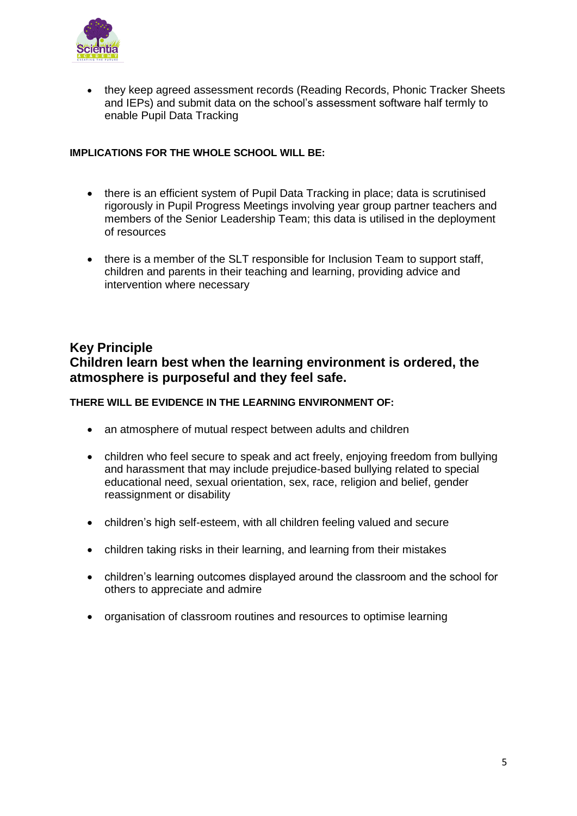

 they keep agreed assessment records (Reading Records, Phonic Tracker Sheets and IEPs) and submit data on the school's assessment software half termly to enable Pupil Data Tracking

#### **IMPLICATIONS FOR THE WHOLE SCHOOL WILL BE:**

- there is an efficient system of Pupil Data Tracking in place; data is scrutinised rigorously in Pupil Progress Meetings involving year group partner teachers and members of the Senior Leadership Team; this data is utilised in the deployment of resources
- there is a member of the SLT responsible for Inclusion Team to support staff, children and parents in their teaching and learning, providing advice and intervention where necessary

## **Key Principle Children learn best when the learning environment is ordered, the atmosphere is purposeful and they feel safe.**

## **THERE WILL BE EVIDENCE IN THE LEARNING ENVIRONMENT OF:**

- an atmosphere of mutual respect between adults and children
- children who feel secure to speak and act freely, enjoying freedom from bullying and harassment that may include prejudice-based bullying related to special educational need, sexual orientation, sex, race, religion and belief, gender reassignment or disability
- children's high self-esteem, with all children feeling valued and secure
- children taking risks in their learning, and learning from their mistakes
- children's learning outcomes displayed around the classroom and the school for others to appreciate and admire
- organisation of classroom routines and resources to optimise learning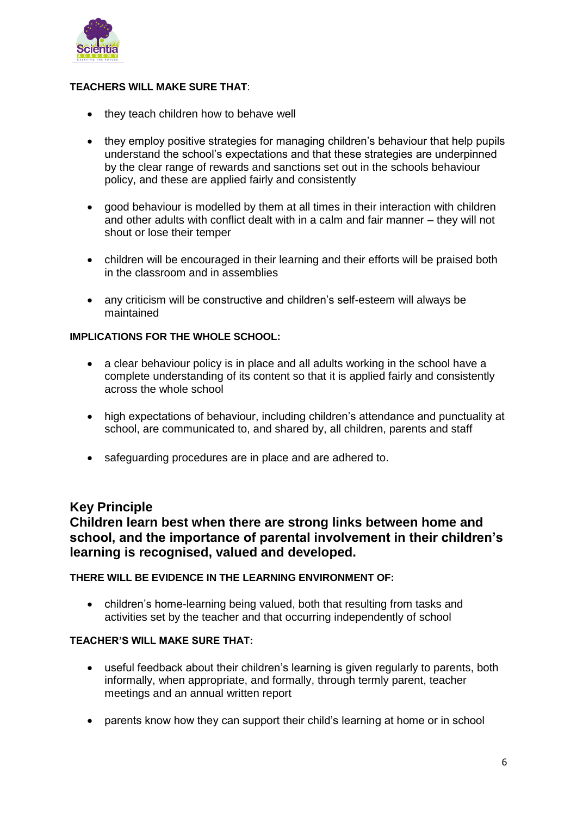

## **TEACHERS WILL MAKE SURE THAT**:

- they teach children how to behave well
- they employ positive strategies for managing children's behaviour that help pupils understand the school's expectations and that these strategies are underpinned by the clear range of rewards and sanctions set out in the schools behaviour policy, and these are applied fairly and consistently
- good behaviour is modelled by them at all times in their interaction with children and other adults with conflict dealt with in a calm and fair manner – they will not shout or lose their temper
- children will be encouraged in their learning and their efforts will be praised both in the classroom and in assemblies
- any criticism will be constructive and children's self-esteem will always be maintained

## **IMPLICATIONS FOR THE WHOLE SCHOOL:**

- a clear behaviour policy is in place and all adults working in the school have a complete understanding of its content so that it is applied fairly and consistently across the whole school
- high expectations of behaviour, including children's attendance and punctuality at school, are communicated to, and shared by, all children, parents and staff
- safeguarding procedures are in place and are adhered to.

## **Key Principle**

**Children learn best when there are strong links between home and school, and the importance of parental involvement in their children's learning is recognised, valued and developed.**

#### **THERE WILL BE EVIDENCE IN THE LEARNING ENVIRONMENT OF:**

 children's home-learning being valued, both that resulting from tasks and activities set by the teacher and that occurring independently of school

#### **TEACHER'S WILL MAKE SURE THAT:**

- useful feedback about their children's learning is given regularly to parents, both informally, when appropriate, and formally, through termly parent, teacher meetings and an annual written report
- parents know how they can support their child's learning at home or in school